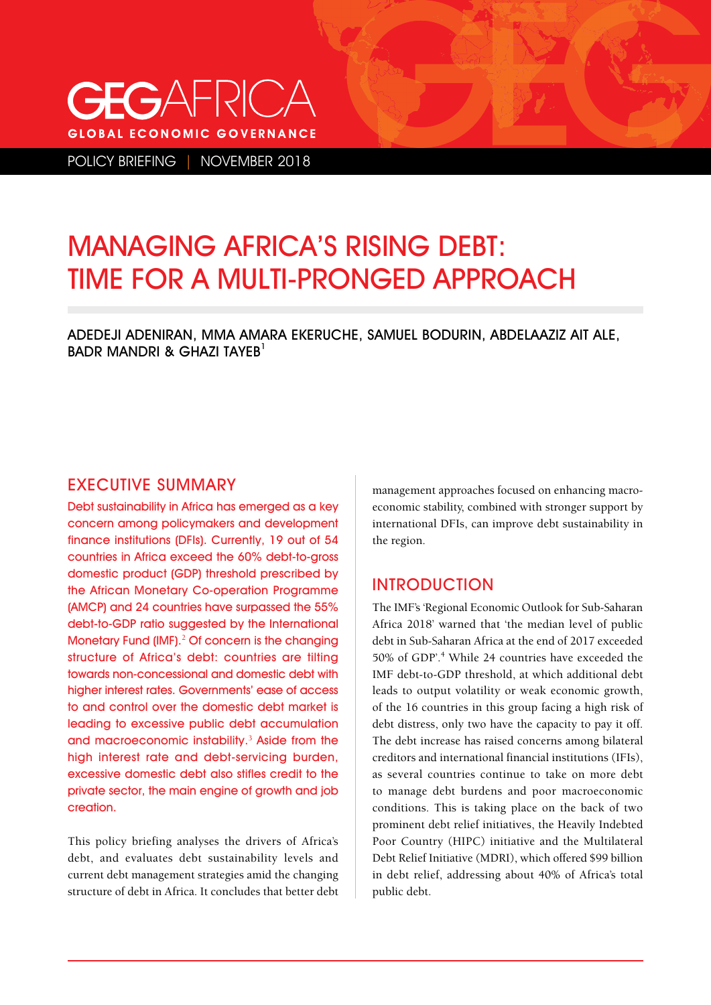# $G$ AHRIC $A$ **GLOBAL ECONOMIC GOVERNANCE**

POLICY BRIEFING | NOVEMBER 2018

# MANAGING AFRICA'S RISING DEBT: TIME FOR A MULTI-PRONGED APPROACH

ADEDEJI ADENIRAN, MMA AMARA EKERUCHE, SAMUEL BODURIN, ABDELAAZIZ AIT ALE, BADR MANDRI & GHAZI TAYEB<sup>1</sup>

#### EXECUTIVE SUMMARY

Debt sustainability in Africa has emerged as a key concern among policymakers and development finance institutions (DFIs). Currently, 19 out of 54 countries in Africa exceed the 60% debt-to-gross domestic product (GDP) threshold prescribed by the African Monetary Co-operation Programme (AMCP) and 24 countries have surpassed the 55% debt-to-GDP ratio suggested by the International Monetary Fund (IMF).<sup>2</sup> Of concern is the changing structure of Africa's debt: countries are tilting towards non-concessional and domestic debt with higher interest rates. Governments' ease of access to and control over the domestic debt market is leading to excessive public debt accumulation and macroeconomic instability.<sup>3</sup> Aside from the high interest rate and debt-servicing burden, excessive domestic debt also stifles credit to the private sector, the main engine of growth and job creation.

This policy briefing analyses the drivers of Africa's debt, and evaluates debt sustainability levels and current debt management strategies amid the changing structure of debt in Africa. It concludes that better debt management approaches focused on enhancing macroeconomic stability, combined with stronger support by international DFIs, can improve debt sustainability in the region.

### INTRODUCTION

The IMF's 'Regional Economic Outlook for Sub-Saharan Africa 2018' warned that 'the median level of public debt in Sub-Saharan Africa at the end of 2017 exceeded 50% of GDP'.4 While 24 countries have exceeded the IMF debt-to-GDP threshold, at which additional debt leads to output volatility or weak economic growth, of the 16 countries in this group facing a high risk of debt distress, only two have the capacity to pay it off. The debt increase has raised concerns among bilateral creditors and international financial institutions (IFIs), as several countries continue to take on more debt to manage debt burdens and poor macroeconomic conditions. This is taking place on the back of two prominent debt relief initiatives, the Heavily Indebted Poor Country (HIPC) initiative and the Multilateral Debt Relief Initiative (MDRI), which offered \$99 billion in debt relief, addressing about 40% of Africa's total public debt.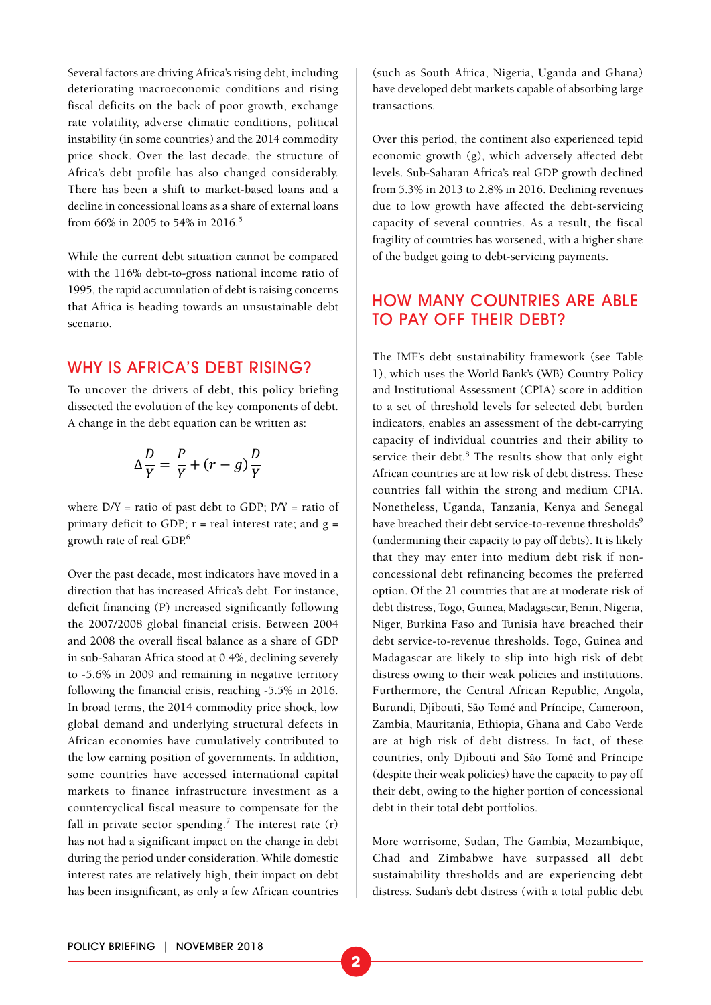Several factors are driving Africa's rising debt, including deteriorating macroeconomic conditions and rising fiscal deficits on the back of poor growth, exchange rate volatility, adverse climatic conditions, political instability (in some countries) and the 2014 commodity price shock. Over the last decade, the structure of Africa's debt profile has also changed considerably. There has been a shift to market-based loans and a decline in concessional loans as a share of external loans from 66% in 2005 to 54% in 2016.<sup>5</sup>

While the current debt situation cannot be compared with the 116% debt-to-gross national income ratio of 1995, the rapid accumulation of debt is raising concerns that Africa is heading towards an unsustainable debt scenario.

#### WHY IS AFRICA'S DEBT RISING?

To uncover the drivers of debt, this policy briefing dissected the evolution of the key components of debt. A change in the debt equation can be written as:

$$
\Delta \frac{D}{Y} = \frac{P}{Y} + (r - g) \frac{D}{Y}
$$

where  $D/Y$  = ratio of past debt to GDP;  $P/Y$  = ratio of primary deficit to GDP;  $r =$  real interest rate; and  $g =$ growth rate of real GDP.6

Over the past decade, most indicators have moved in a direction that has increased Africa's debt. For instance, deficit financing (P) increased significantly following the 2007/2008 global financial crisis. Between 2004 and 2008 the overall fiscal balance as a share of GDP in sub-Saharan Africa stood at 0.4%, declining severely to -5.6% in 2009 and remaining in negative territory following the financial crisis, reaching -5.5% in 2016. In broad terms, the 2014 commodity price shock, low global demand and underlying structural defects in African economies have cumulatively contributed to the low earning position of governments. In addition, some countries have accessed international capital markets to finance infrastructure investment as a countercyclical fiscal measure to compensate for the fall in private sector spending.<sup>7</sup> The interest rate  $(r)$ has not had a significant impact on the change in debt during the period under consideration. While domestic interest rates are relatively high, their impact on debt has been insignificant, as only a few African countries

(such as South Africa, Nigeria, Uganda and Ghana) have developed debt markets capable of absorbing large transactions.

Over this period, the continent also experienced tepid economic growth (g), which adversely affected debt levels. Sub-Saharan Africa's real GDP growth declined from 5.3% in 2013 to 2.8% in 2016. Declining revenues due to low growth have affected the debt-servicing capacity of several countries. As a result, the fiscal fragility of countries has worsened, with a higher share of the budget going to debt-servicing payments.

### HOW MANY COUNTRIES ARE ABLE TO PAY OFF THEIR DEBT?

The IMF's debt sustainability framework (see Table 1), which uses the World Bank's (WB) Country Policy and Institutional Assessment (CPIA) score in addition to a set of threshold levels for selected debt burden indicators, enables an assessment of the debt-carrying capacity of individual countries and their ability to service their debt.<sup>8</sup> The results show that only eight African countries are at low risk of debt distress. These countries fall within the strong and medium CPIA. Nonetheless, Uganda, Tanzania, Kenya and Senegal have breached their debt service-to-revenue thresholds<sup>9</sup> (undermining their capacity to pay off debts). It is likely that they may enter into medium debt risk if nonconcessional debt refinancing becomes the preferred option. Of the 21 countries that are at moderate risk of debt distress, Togo, Guinea, Madagascar, Benin, Nigeria, Niger, Burkina Faso and Tunisia have breached their debt service-to-revenue thresholds. Togo, Guinea and Madagascar are likely to slip into high risk of debt distress owing to their weak policies and institutions. Furthermore, the Central African Republic, Angola, Burundi, Djibouti, São Tomé and Príncipe, Cameroon, Zambia, Mauritania, Ethiopia, Ghana and Cabo Verde are at high risk of debt distress. In fact, of these countries, only Djibouti and São Tomé and Príncipe (despite their weak policies) have the capacity to pay off their debt, owing to the higher portion of concessional debt in their total debt portfolios.

More worrisome, Sudan, The Gambia, Mozambique, Chad and Zimbabwe have surpassed all debt sustainability thresholds and are experiencing debt distress. Sudan's debt distress (with a total public debt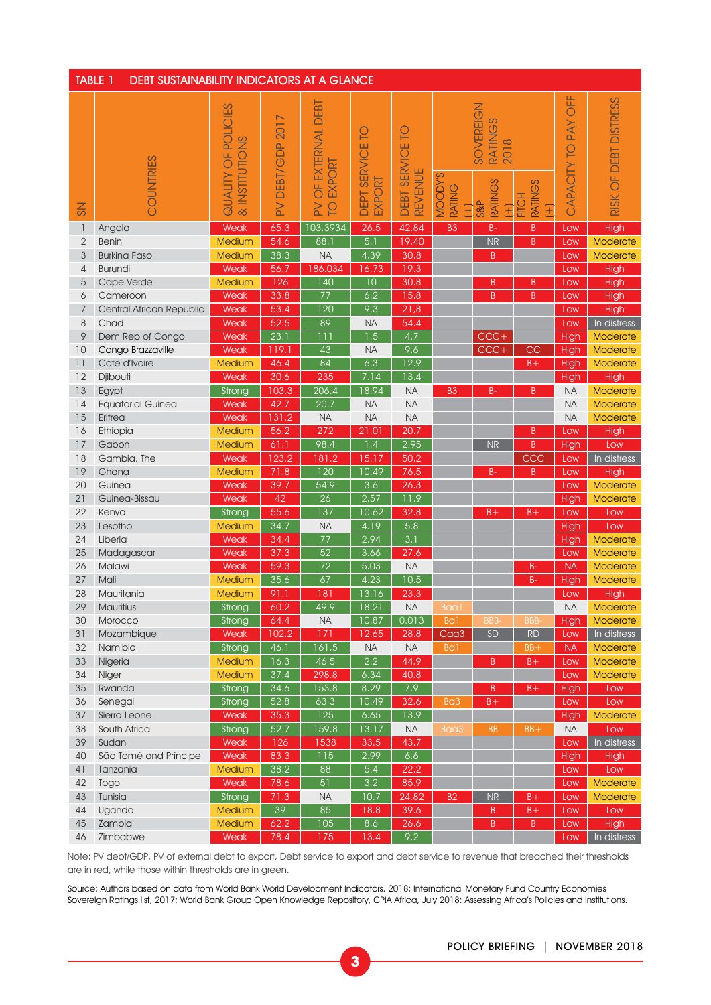| <b>TABLE 1</b><br><b>DEBT SUSTAINABILITY INDICATORS AT A GLANCE</b> |                          |                                                 |                            |                                                                          |                                |                                               |                                           |                                                                                |                                     |                                  |                          |
|---------------------------------------------------------------------|--------------------------|-------------------------------------------------|----------------------------|--------------------------------------------------------------------------|--------------------------------|-----------------------------------------------|-------------------------------------------|--------------------------------------------------------------------------------|-------------------------------------|----------------------------------|--------------------------|
| $\lesssim$                                                          | COUNTRIES                | OF POLICIES<br>& INSTITUTIONS<br><b>ALITYND</b> | 2017<br>DEBT/GDP<br>$\geq$ | DEBT<br>EXTERNAL<br>EXPORT<br>$\overline{0}$<br>$\geq$<br>$\overline{O}$ | ဥ<br>SERVICE<br>EXPORT<br>DEPT | <u>p</u><br>SERVICE<br><b>REVENUE</b><br>DEBT | <b>MOODY'S</b><br>RATING<br>$\widehat{+}$ | SOVEREIGN<br><b>RATINGS</b><br>2018<br><b>RATINGS</b><br>S&P<br>$\overline{+}$ | <b>RATINGS</b><br><b>FITCH</b><br>Œ | <b>UFF</b><br>PAY<br>CAPACITY TO | OF DEBT DISTRESS<br>RISK |
| $\mathbf{1}$                                                        | Angola                   | Weak                                            | 65.3                       | 103.3934                                                                 | 26.5                           | 42.84                                         | B <sub>3</sub>                            | $B -$                                                                          | B                                   | Low                              | High                     |
| $\overline{2}$                                                      | Benin                    | Medium                                          | 54.6                       | 88.1                                                                     | 5.1                            | 19.40                                         |                                           | <b>NR</b>                                                                      | B                                   | Low                              | Moderate                 |
| 3                                                                   | <b>Burkina Faso</b>      | Medium                                          | 38.3                       | <b>NA</b>                                                                | 4.39                           | 30.8                                          |                                           | B                                                                              |                                     | Low                              | Moderate                 |
| $\overline{4}$                                                      | <b>Burundi</b>           | Weak                                            | 56.7                       | 186.034                                                                  | 16.73                          | 19.3                                          |                                           |                                                                                |                                     | Low                              | High                     |
| 5                                                                   | Cape Verde               | Medium                                          | 126                        | $\overline{140}$                                                         | $\overline{10}$                | 30.8                                          |                                           | B                                                                              | B                                   | Low                              | High                     |
| 6                                                                   | Cameroon                 | Weak                                            | 33.8                       | $\overline{77}$                                                          | 6.2                            | 15.8                                          |                                           | B                                                                              | B                                   | Low                              | High                     |
| $7\overline{ }$                                                     | Central African Republic | Weak                                            | 53.4                       | 120                                                                      | 9.3                            | 21,8                                          |                                           |                                                                                |                                     | Low                              | High                     |
| 8                                                                   | Chad                     | Weak                                            | 52.5                       | 89                                                                       | <b>NA</b>                      | 54.4                                          |                                           |                                                                                |                                     | Low                              | In distress              |
| 9                                                                   | Dem Rep of Congo         | Weak                                            | 23.1                       | 111                                                                      | $\overline{1.5}$               | 4.7                                           |                                           | $CCC +$                                                                        |                                     | High                             | Moderate                 |
| 10                                                                  | Congo Brazzaville        | Weak                                            | 119.1                      | 43                                                                       | <b>NA</b>                      | 9.6                                           |                                           | $CCC +$                                                                        | CC                                  | High                             | Moderate                 |
| 11                                                                  | Cote d'Ivoire            | <b>Medium</b>                                   | 46.4                       | 84                                                                       | 6.3                            | 12.9                                          |                                           |                                                                                | $B +$                               | High                             | Moderate                 |
| 12                                                                  | Djibouti                 | Weak                                            | 30.6                       | 235                                                                      | 7.14                           | 13.4                                          |                                           |                                                                                |                                     | High                             | High                     |
| 13                                                                  | Egypt                    | Strong                                          | 103.3                      | $\overline{206.4}$                                                       | 18.94                          | <b>NA</b>                                     | B <sub>3</sub>                            | $B -$                                                                          | B                                   | <b>NA</b>                        | Moderate                 |
| 14                                                                  | <b>Equatorial Guinea</b> | Weak                                            | 42.7                       | 20.7                                                                     | <b>NA</b>                      | <b>NA</b>                                     |                                           |                                                                                |                                     | <b>NA</b>                        | <b>Moderate</b>          |
| 15                                                                  | Eritrea                  | Weak                                            | 131.2                      | <b>NA</b>                                                                | <b>NA</b>                      | <b>NA</b>                                     |                                           |                                                                                |                                     | <b>NA</b>                        | Moderate                 |
| 16                                                                  | Ethiopia                 | Medium                                          | 56.2                       | 272                                                                      | 21.01                          | 20.7                                          |                                           |                                                                                | B                                   | Low                              | High                     |
| 17                                                                  | Gabon                    | Medium                                          | 61.1                       | 98.4                                                                     | 1.4                            | 2.95                                          |                                           | <b>NR</b>                                                                      | $\sf B$                             | High                             | Low                      |
| 18                                                                  | Gambia, The              | Weak                                            | 123.2                      | 181.2                                                                    | 15.17                          | 50.2                                          |                                           |                                                                                | CCC                                 | Low                              | In distress              |
| 19                                                                  | Ghana                    | <b>Medium</b>                                   | 71.8                       | $\overline{120}$                                                         | 10.49                          | 76.5                                          |                                           | $B -$                                                                          | B                                   | Low                              | High                     |
| 20                                                                  | Guinea                   | Weak                                            | 39.7                       | 54.9                                                                     | 3.6                            | 26.3                                          |                                           |                                                                                |                                     | Low                              | Moderate                 |
| 21                                                                  | Guinea-Bissau            | Weak                                            | 42                         | $\overline{26}$                                                          | 2.57                           | 11.9                                          |                                           |                                                                                |                                     | High                             | Moderate                 |
| 22                                                                  | Kenya                    | Strong                                          | 55.6                       | 137                                                                      | 10.62                          | 32.8                                          |                                           | $B +$                                                                          | $B +$                               | Low                              | Low                      |
| 23                                                                  | Lesotho                  | <b>Medium</b>                                   | 34.7                       | <b>NA</b>                                                                | 4.19                           | 5.8                                           |                                           |                                                                                |                                     | High                             | Low                      |
| 24                                                                  | Liberia                  | Weak                                            | 34.4                       | $\overline{77}$                                                          | 2.94                           | $\overline{3.1}$                              |                                           |                                                                                |                                     | High                             | <b>Moderate</b>          |
| 25                                                                  | Madagascar               | Weak                                            | 37.3                       | $\overline{52}$                                                          | 3.66                           | 27.6                                          |                                           |                                                                                |                                     | Low                              | Moderate                 |
| 26                                                                  | Malawi                   | Weak                                            | 59.3                       | 72                                                                       | 5.03                           | <b>NA</b>                                     |                                           |                                                                                | $B -$                               | NA                               | Moderate                 |
| 27                                                                  | Mali                     | <b>Medium</b>                                   | 35.6                       | 67                                                                       | 4.23                           | 10.5                                          |                                           |                                                                                | $B -$                               | High                             | Moderate                 |
| 28                                                                  | Mauritania               | Medium                                          | 91.1                       | 181                                                                      | 13.16                          | 23.3                                          |                                           |                                                                                |                                     | Low                              | <b>High</b>              |
| 29                                                                  | Mauritius                | Strong                                          | 60.2                       | 49.9                                                                     | 18.21                          | <b>NA</b>                                     | Baal                                      |                                                                                |                                     | NA                               | <b>Moderate</b>          |
| 30                                                                  | Morocco                  | Strong                                          | 64.4                       | <b>NA</b>                                                                | 10.87                          | 0.013                                         | Ba1                                       | BBB-                                                                           | BBB-                                | High                             | Moderate                 |
| 31                                                                  | Mozambique               | Weak                                            | 102.2                      | 171                                                                      | 12.65                          | 28.8                                          | Caa <sub>3</sub>                          | SD                                                                             | <b>RD</b>                           | Low                              | In distress              |
| 32                                                                  | Namibia                  | Strong                                          | 46.1                       | 161.5                                                                    | <b>NA</b>                      | <b>NA</b>                                     | Ba1                                       |                                                                                | $BB +$                              | <b>NA</b>                        | Moderate                 |
| 33                                                                  | Nigeria                  | <b>Medium</b>                                   | 16.3                       | 46.5                                                                     | $2.2\,$                        | 44.9                                          |                                           | B                                                                              | $B +$                               | Low                              | Moderate                 |
| 34                                                                  | Niger                    | Medium                                          | $\frac{37.4}{ }$           | 298.8                                                                    | 6.34                           | 40.8                                          |                                           |                                                                                |                                     | Low                              | Moderate                 |
| 35                                                                  | Rwanda                   | Strong                                          | 34.6                       | 153.8                                                                    | 8.29                           | 7.9                                           |                                           | B                                                                              | $B +$                               | High                             | Low                      |
| 36                                                                  | Senegal                  | Strong                                          | $\frac{52.8}{5}$           | 63.3                                                                     | 10.49                          | 32.6                                          | Ba <sub>3</sub>                           | $B +$                                                                          |                                     | Low                              | Low                      |
| 37                                                                  | Sierra Leone             | Weak                                            | 35.3                       | $\overline{125}$                                                         | 6.65                           | 13.9                                          |                                           |                                                                                |                                     | High                             | Moderate                 |
| 38                                                                  | South Africa             | Strong                                          | $\frac{52.7}{5}$           | 159.8                                                                    | 13.17                          | <b>NA</b>                                     | Baa3                                      | <b>BB</b>                                                                      | $BB+$                               | <b>NA</b>                        | Low                      |
| 39                                                                  | Sudan                    | Weak                                            | 126                        | 1538                                                                     | 33.5                           | 43.7                                          |                                           |                                                                                |                                     | Low                              | In distress              |
| 40                                                                  | São Tomé and Príncipe    | Weak                                            | 83.3                       | $\overline{115}$                                                         | 2.99                           | 6.6                                           |                                           |                                                                                |                                     | High                             | <b>High</b>              |
| 41                                                                  | Tanzania                 | Medium                                          | 38.2                       | 88                                                                       | 5.4                            | 22.2                                          |                                           |                                                                                |                                     | Low                              | Low                      |
| 42                                                                  | Togo                     | Weak                                            | 78.6                       | 51                                                                       | 3.2                            | 85.9                                          |                                           |                                                                                |                                     | Low                              | Moderate                 |
| 43                                                                  | Tunisia                  | Strong                                          | 71.3                       | <b>NA</b>                                                                | 10.7                           | 24.82                                         | B <sub>2</sub>                            | <b>NR</b>                                                                      | $B +$                               | Low                              | Moderate                 |
| 44                                                                  | Uganda                   | Medium                                          | $\overline{39}$            | 85                                                                       | 18.8                           | 39.6                                          |                                           | B                                                                              | $B +$                               | Low                              | Low                      |
| 45                                                                  | Zambia                   | Medium                                          | 62.2                       | 105                                                                      | 8.6                            | 26.6                                          |                                           | B                                                                              | $\sf B$                             | Low                              | High                     |
| 46                                                                  | Zimbabwe                 | Weak                                            | 78.4                       | 175                                                                      | 13.4                           | $\overline{9.2}$                              |                                           |                                                                                |                                     | Low                              | In distress              |

Note: PV debt/GDP, PV of external debt to export, Debt service to export and debt service to revenue that breached their thresholds are in red, while those within thresholds are in green.

Source: Authors based on data from World Bank World Development Indicators, 2018; International Monetary Fund Country Economies Sovereign Ratings list, 2017; World Bank Group Open Knowledge Repository, CPIA Africa, July 2018: Assessing Africa's Policies and Institutions.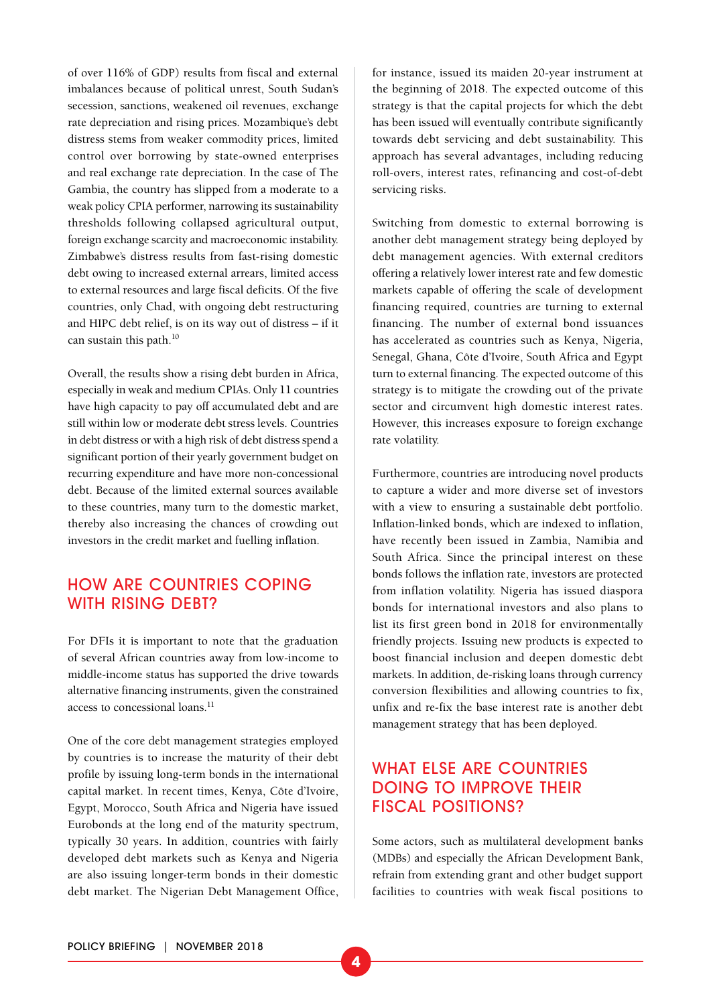of over 116% of GDP) results from fiscal and external imbalances because of political unrest, South Sudan's secession, sanctions, weakened oil revenues, exchange rate depreciation and rising prices. Mozambique's debt distress stems from weaker commodity prices, limited control over borrowing by state-owned enterprises and real exchange rate depreciation. In the case of The Gambia, the country has slipped from a moderate to a weak policy CPIA performer, narrowing its sustainability thresholds following collapsed agricultural output, foreign exchange scarcity and macroeconomic instability. Zimbabwe's distress results from fast-rising domestic debt owing to increased external arrears, limited access to external resources and large fiscal deficits. Of the five countries, only Chad, with ongoing debt restructuring and HIPC debt relief, is on its way out of distress – if it can sustain this path.<sup>10</sup>

Overall, the results show a rising debt burden in Africa, especially in weak and medium CPIAs. Only 11 countries have high capacity to pay off accumulated debt and are still within low or moderate debt stress levels. Countries in debt distress or with a high risk of debt distress spend a significant portion of their yearly government budget on recurring expenditure and have more non-concessional debt. Because of the limited external sources available to these countries, many turn to the domestic market, thereby also increasing the chances of crowding out investors in the credit market and fuelling inflation.

#### HOW ARE COUNTRIES COPING WITH RISING DEBT?

For DFIs it is important to note that the graduation of several African countries away from low-income to middle-income status has supported the drive towards alternative financing instruments, given the constrained access to concessional loans.<sup>11</sup>

One of the core debt management strategies employed by countries is to increase the maturity of their debt profile by issuing long-term bonds in the international capital market. In recent times, Kenya, Côte d'Ivoire, Egypt, Morocco, South Africa and Nigeria have issued Eurobonds at the long end of the maturity spectrum, typically 30 years. In addition, countries with fairly developed debt markets such as Kenya and Nigeria are also issuing longer-term bonds in their domestic debt market. The Nigerian Debt Management Office, for instance, issued its maiden 20-year instrument at the beginning of 2018. The expected outcome of this strategy is that the capital projects for which the debt has been issued will eventually contribute significantly towards debt servicing and debt sustainability. This approach has several advantages, including reducing roll-overs, interest rates, refinancing and cost-of-debt servicing risks.

Switching from domestic to external borrowing is another debt management strategy being deployed by debt management agencies. With external creditors offering a relatively lower interest rate and few domestic markets capable of offering the scale of development financing required, countries are turning to external financing. The number of external bond issuances has accelerated as countries such as Kenya, Nigeria, Senegal, Ghana, Côte d'Ivoire, South Africa and Egypt turn to external financing. The expected outcome of this strategy is to mitigate the crowding out of the private sector and circumvent high domestic interest rates. However, this increases exposure to foreign exchange rate volatility.

Furthermore, countries are introducing novel products to capture a wider and more diverse set of investors with a view to ensuring a sustainable debt portfolio. Inflation-linked bonds, which are indexed to inflation, have recently been issued in Zambia, Namibia and South Africa. Since the principal interest on these bonds follows the inflation rate, investors are protected from inflation volatility. Nigeria has issued diaspora bonds for international investors and also plans to list its first green bond in 2018 for environmentally friendly projects. Issuing new products is expected to boost financial inclusion and deepen domestic debt markets. In addition, de-risking loans through currency conversion flexibilities and allowing countries to fix, unfix and re-fix the base interest rate is another debt management strategy that has been deployed.

## WHAT ELSE ARE COUNTRIES DOING TO IMPROVE THEIR FISCAL POSITIONS?

Some actors, such as multilateral development banks (MDBs) and especially the African Development Bank, refrain from extending grant and other budget support facilities to countries with weak fiscal positions to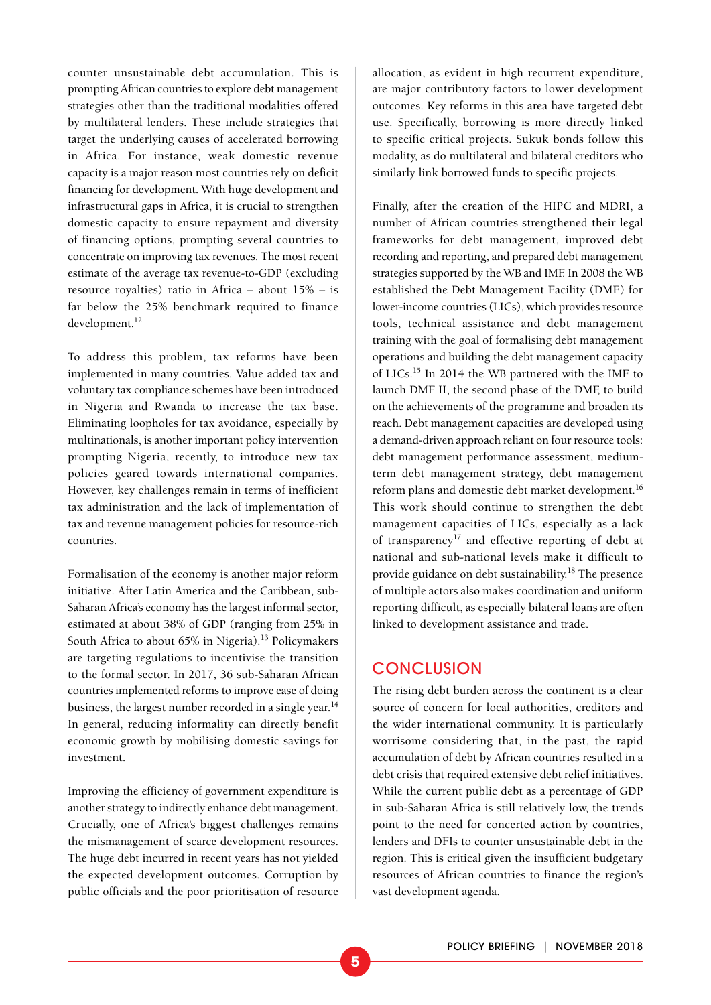counter unsustainable debt accumulation. This is prompting African countries to explore debt management strategies other than the traditional modalities offered by multilateral lenders. These include strategies that target the underlying causes of accelerated borrowing in Africa. For instance, weak domestic revenue capacity is a major reason most countries rely on deficit financing for development. With huge development and infrastructural gaps in Africa, it is crucial to strengthen domestic capacity to ensure repayment and diversity of financing options, prompting several countries to concentrate on improving tax revenues. The most recent estimate of the average tax revenue-to-GDP (excluding resource royalties) ratio in Africa – about 15% – is far below the 25% benchmark required to finance development.<sup>12</sup>

To address this problem, tax reforms have been implemented in many countries. Value added tax and voluntary tax compliance schemes have been introduced in Nigeria and Rwanda to increase the tax base. Eliminating loopholes for tax avoidance, especially by multinationals, is another important policy intervention prompting Nigeria, recently, to introduce new tax policies geared towards international companies. However, key challenges remain in terms of inefficient tax administration and the lack of implementation of tax and revenue management policies for resource-rich countries.

Formalisation of the economy is another major reform initiative. After Latin America and the Caribbean, sub-Saharan Africa's economy has the largest informal sector, estimated at about 38% of GDP (ranging from 25% in South Africa to about 65% in Nigeria).<sup>13</sup> Policymakers are targeting regulations to incentivise the transition to the formal sector. In 2017, 36 sub-Saharan African countries implemented reforms to improve ease of doing business, the largest number recorded in a single year.<sup>14</sup> In general, reducing informality can directly benefit economic growth by mobilising domestic savings for investment.

Improving the efficiency of government expenditure is another strategy to indirectly enhance debt management. Crucially, one of Africa's biggest challenges remains the mismanagement of scarce development resources. The huge debt incurred in recent years has not yielded the expected development outcomes. Corruption by public officials and the poor prioritisation of resource

allocation, as evident in high recurrent expenditure, are major contributory factors to lower development outcomes. Key reforms in this area have targeted debt use. Specifically, borrowing is more directly linked to specific critical projects. [Sukuk bonds](https://www.investopedia.com/terms/s/sukuk.asp) follow this modality, as do multilateral and bilateral creditors who similarly link borrowed funds to specific projects.

Finally, after the creation of the HIPC and MDRI, a number of African countries strengthened their legal frameworks for debt management, improved debt recording and reporting, and prepared debt management strategies supported by the WB and IMF. In 2008 the WB established the Debt Management Facility (DMF) for lower-income countries (LICs), which provides resource tools, technical assistance and debt management training with the goal of formalising debt management operations and building the debt management capacity of LICs.15 In 2014 the WB partnered with the IMF to launch DMF II, the second phase of the DMF, to build on the achievements of the programme and broaden its reach. Debt management capacities are developed using a demand-driven approach reliant on four resource tools: debt management performance assessment, mediumterm debt management strategy, debt management reform plans and domestic debt market development.16 This work should continue to strengthen the debt management capacities of LICs, especially as a lack of transparency17 and effective reporting of debt at national and sub-national levels make it difficult to provide guidance on debt sustainability.18 The presence of multiple actors also makes coordination and uniform reporting difficult, as especially bilateral loans are often linked to development assistance and trade.

#### **CONCLUSION**

The rising debt burden across the continent is a clear source of concern for local authorities, creditors and the wider international community. It is particularly worrisome considering that, in the past, the rapid accumulation of debt by African countries resulted in a debt crisis that required extensive debt relief initiatives. While the current public debt as a percentage of GDP in sub-Saharan Africa is still relatively low, the trends point to the need for concerted action by countries, lenders and DFIs to counter unsustainable debt in the region. This is critical given the insufficient budgetary resources of African countries to finance the region's vast development agenda.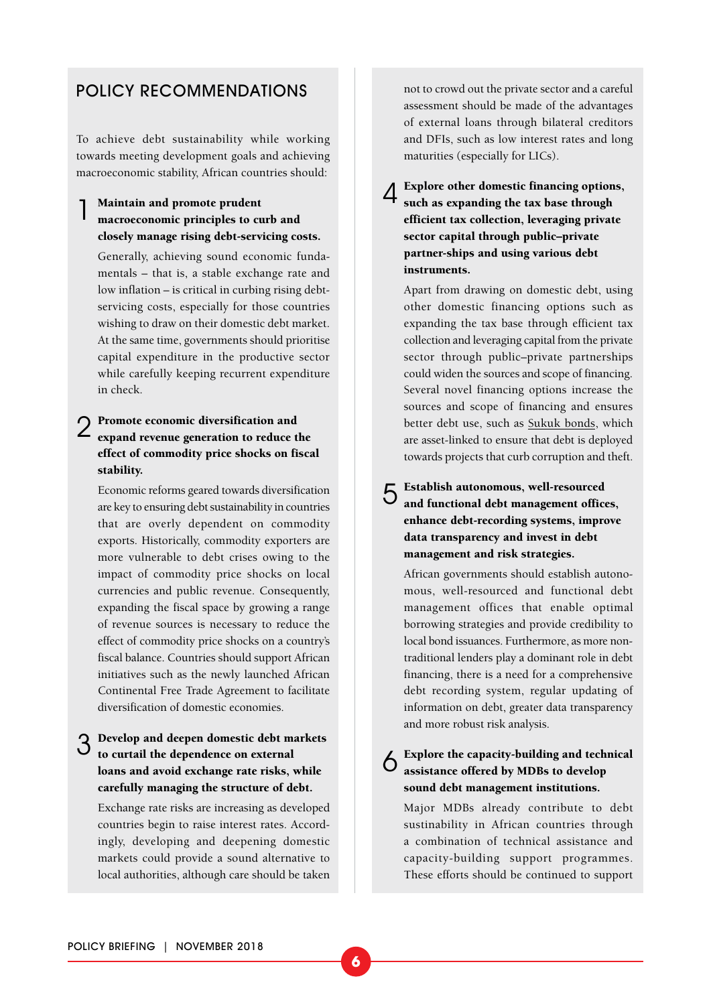#### POLICY RECOMMENDATIONS

To achieve debt sustainability while working towards meeting development goals and achieving macroeconomic stability, African countries should:

#### Maintain and promote prudent macroeconomic principles to curb and closely manage rising debt-servicing costs.

Generally, achieving sound economic fundamentals – that is, a stable exchange rate and low inflation – is critical in curbing rising debtservicing costs, especially for those countries wishing to draw on their domestic debt market. At the same time, governments should prioritise capital expenditure in the productive sector while carefully keeping recurrent expenditure in check.

## 2 Promote economic diversification and expand revenue generation to reduce the effect of commodity price shocks on fiscal stability.

Economic reforms geared towards diversification are key to ensuring debt sustainability in countries that are overly dependent on commodity exports. Historically, commodity exporters are more vulnerable to debt crises owing to the impact of commodity price shocks on local currencies and public revenue. Consequently, expanding the fiscal space by growing a range of revenue sources is necessary to reduce the effect of commodity price shocks on a country's fiscal balance. Countries should support African initiatives such as the newly launched African Continental Free Trade Agreement to facilitate diversification of domestic economies.

## 3 Develop and deepen domestic debt markets to curtail the dependence on external loans and avoid exchange rate risks, while carefully managing the structure of debt.

Exchange rate risks are increasing as developed countries begin to raise interest rates. Accordingly, developing and deepening domestic markets could provide a sound alternative to local authorities, although care should be taken not to crowd out the private sector and a careful assessment should be made of the advantages of external loans through bilateral creditors and DFIs, such as low interest rates and long maturities (especially for LICs).

4 Explore other domestic financing options, such as expanding the tax base through efficient tax collection, leveraging private sector capital through public–private partner-ships and using various debt instruments.

Apart from drawing on domestic debt, using other domestic financing options such as expanding the tax base through efficient tax collection and leveraging capital from the private sector through public–private partnerships could widen the sources and scope of financing. Several novel financing options increase the sources and scope of financing and ensures better debt use, such as [Sukuk bonds](https://www.investopedia.com/terms/s/sukuk.asp), which are asset-linked to ensure that debt is deployed towards projects that curb corruption and theft.

5 Establish autonomous, well-resourced and functional debt management offices, enhance debt-recording systems, improve data transparency and invest in debt management and risk strategies.

African governments should establish autonomous, well-resourced and functional debt management offices that enable optimal borrowing strategies and provide credibility to local bond issuances. Furthermore, as more nontraditional lenders play a dominant role in debt financing, there is a need for a comprehensive debt recording system, regular updating of information on debt, greater data transparency and more robust risk analysis.

#### Explore the capacity-building and technical assistance offered by MDBs to develop sound debt management institutions.

Major MDBs already contribute to debt sustinability in African countries through a combination of technical assistance and capacity-building support programmes. These efforts should be continued to support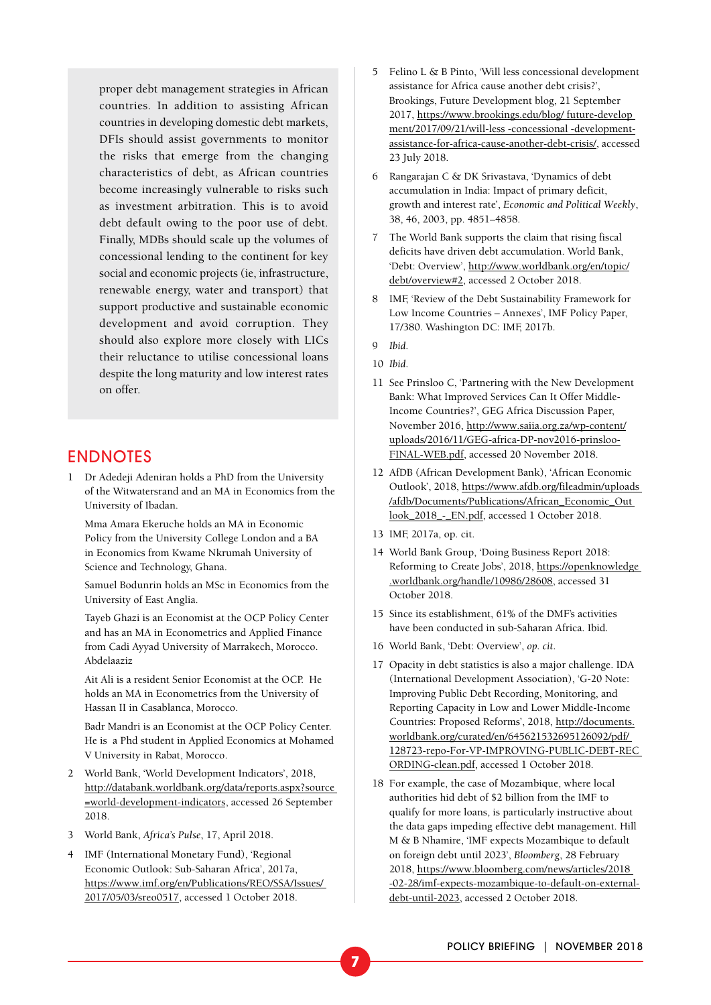proper debt management strategies in African countries. In addition to assisting African countries in developing domestic debt markets, DFIs should assist governments to monitor the risks that emerge from the changing characteristics of debt, as African countries become increasingly vulnerable to risks such as investment arbitration. This is to avoid debt default owing to the poor use of debt. Finally, MDBs should scale up the volumes of concessional lending to the continent for key social and economic projects (ie, infrastructure, renewable energy, water and transport) that support productive and sustainable economic development and avoid corruption. They should also explore more closely with LICs their reluctance to utilise concessional loans despite the long maturity and low interest rates on offer.

#### ENDNOTES

1 Dr Adedeji Adeniran holds a PhD from the University of the Witwatersrand and an MA in Economics from the University of Ibadan.

Mma Amara Ekeruche holds an MA in Economic Policy from the University College London and a BA in Economics from Kwame Nkrumah University of Science and Technology, Ghana.

Samuel Bodunrin holds an MSc in Economics from the University of East Anglia.

Tayeb Ghazi is an Economist at the OCP Policy Center and has an MA in Econometrics and Applied Finance from Cadi Ayyad University of Marrakech, Morocco. Abdelaaziz

Ait Ali is a resident Senior Economist at the OCP. He holds an MA in Econometrics from the University of Hassan II in Casablanca, Morocco.

Badr Mandri is an Economist at the OCP Policy Center. He is a Phd student in Applied Economics at Mohamed V University in Rabat, Morocco.

- 2 World Bank, 'World Development Indicators', 2018, [http://databank.worldbank.org/data/reports.aspx?source](http://databank.worldbank.org/data/reports.aspx?source=world-development-indicators)  [=world-development-indicators,](http://databank.worldbank.org/data/reports.aspx?source=world-development-indicators) accessed 26 September 2018.
- 3 World Bank, *Africa's Pulse*, 17, April 2018.
- 4 IMF (International Monetary Fund), 'Regional Economic Outlook: Sub-Saharan Africa', 2017a, [https://www.imf.org/en/Publications/REO/SSA/Issues/](https://www.imf.org/en/Publications/REO/SSA/Issues/2017/05/03/sreo0517)  [2017/05/03/sreo0517,](https://www.imf.org/en/Publications/REO/SSA/Issues/2017/05/03/sreo0517) accessed 1 October 2018.
- 5 Felino L & B Pinto, 'Will less concessional development assistance for Africa cause another debt crisis?', Brookings, Future Development blog, 21 September 2017, [https://www.brookings.edu/blog/ future-develop](https://www.brookings.edu/blog/future-development/2017/09/21/will-less-concessional-development-assistance-for-africa-cause-another-debt-crisis/)  [ment/2017/09/21/will-less -concessional -development](https://www.brookings.edu/blog/future-development/2017/09/21/will-less-concessional-development-assistance-for-africa-cause-another-debt-crisis/)[assistance-for-africa-cause-another-debt-crisis/](https://www.brookings.edu/blog/future-development/2017/09/21/will-less-concessional-development-assistance-for-africa-cause-another-debt-crisis/), accessed 23 July 2018.
- 6 Rangarajan C & DK Srivastava, 'Dynamics of debt accumulation in India: Impact of primary deficit, growth and interest rate', *Economic and Political Weekly*, 38, 46, 2003, pp. 4851–4858.
- 7 The World Bank supports the claim that rising fiscal deficits have driven debt accumulation. World Bank, 'Debt: Overview', [http://www.worldbank.org/en/topic/](http://www.worldbank.org/en/topic/debt/overview#2) [debt/overview#2,](http://www.worldbank.org/en/topic/debt/overview#2) accessed 2 October 2018.
- 8 IMF, 'Review of the Debt Sustainability Framework for Low Income Countries – Annexes', IMF Policy Paper, 17/380. Washington DC: IMF, 2017b.
- 9 *Ibid*.
- 10 *Ibid*.
- 11 See Prinsloo C, 'Partnering with the New Development Bank: What Improved Services Can It Offer Middle-Income Countries?', GEG Africa Discussion Paper, November 2016, [http://www.saiia.org.za/wp-content/](http://www.saiia.org.za/wp-content/uploads/2016/11/GEG-africa-DP-nov2016-prinsloo-FINAL-WEB.pdf) [uploads/2016/11/GEG-africa-DP-nov2016-prinsloo-](http://www.saiia.org.za/wp-content/uploads/2016/11/GEG-africa-DP-nov2016-prinsloo-FINAL-WEB.pdf)[FINAL-WEB.pdf](http://www.saiia.org.za/wp-content/uploads/2016/11/GEG-africa-DP-nov2016-prinsloo-FINAL-WEB.pdf), accessed 20 November 2018.
- 12 AfDB (African Development Bank), 'African Economic Outlook', 2018, [https://www.afdb.org/fileadmin/uploads](https://www.afdb.org/fileadmin/uploads/afdb/Documents/Publications/African_Economic_Outlook_2018_-_EN.pdf)  [/afdb/Documents/Publications/African\\_Economic\\_Out](https://www.afdb.org/fileadmin/uploads/afdb/Documents/Publications/African_Economic_Outlook_2018_-_EN.pdf)  [look\\_2018\\_-\\_EN.pdf,](https://www.afdb.org/fileadmin/uploads/afdb/Documents/Publications/African_Economic_Outlook_2018_-_EN.pdf) accessed 1 October 2018.
- 13 IMF, 2017a, op. cit.
- 14 World Bank Group, 'Doing Business Report 2018: Reforming to Create Jobs', 2018, [https://openknowledge](https://openknowledge.worldbank.org/handle/10986/28608)  [.worldbank.org/handle/10986/28608,](https://openknowledge.worldbank.org/handle/10986/28608) accessed 31 October 2018.
- 15 Since its establishment, 61% of the DMF's activities have been conducted in sub-Saharan Africa. Ibid.
- 16 World Bank, 'Debt: Overview', *op. cit*.
- 17 Opacity in debt statistics is also a major challenge. IDA (International Development Association), 'G-20 Note: Improving Public Debt Recording, Monitoring, and Reporting Capacity in Low and Lower Middle-Income Countries: Proposed Reforms', 2018, [http://documents.](http://documents.worldbank.org/curated/en/645621532695126092/pdf/128723-repo-For-VP-IMPROVING-PUBLIC-DEBT-RECORDING-clean.pdf) [worldbank.org/curated/en/645621532695126092/pdf/](http://documents.worldbank.org/curated/en/645621532695126092/pdf/128723-repo-For-VP-IMPROVING-PUBLIC-DEBT-RECORDING-clean.pdf)  [128723-repo-For-VP-IMPROVING-PUBLIC-DEBT-REC](http://documents.worldbank.org/curated/en/645621532695126092/pdf/128723-repo-For-VP-IMPROVING-PUBLIC-DEBT-RECORDING-clean.pdf)  [ORDING-clean.pdf,](http://documents.worldbank.org/curated/en/645621532695126092/pdf/128723-repo-For-VP-IMPROVING-PUBLIC-DEBT-RECORDING-clean.pdf) accessed 1 October 2018.
- 18 For example, the case of Mozambique, where local authorities hid debt of \$2 billion from the IMF to qualify for more loans, is particularly instructive about the data gaps impeding effective debt management. Hill M & B Nhamire, 'IMF expects Mozambique to default on foreign debt until 2023', *Bloomberg*, 28 February 2018, [https://www.bloomberg.com/news/articles/2018](https://www.bloomberg.com/news/articles/2018-02-28/imf-expects-mozambique-to-default-on-external-debt-until-2023)  [-02-28/imf-expects-mozambique-to-default-on-external](https://www.bloomberg.com/news/articles/2018-02-28/imf-expects-mozambique-to-default-on-external-debt-until-2023)[debt-until-2023,](https://www.bloomberg.com/news/articles/2018-02-28/imf-expects-mozambique-to-default-on-external-debt-until-2023) accessed 2 October 2018.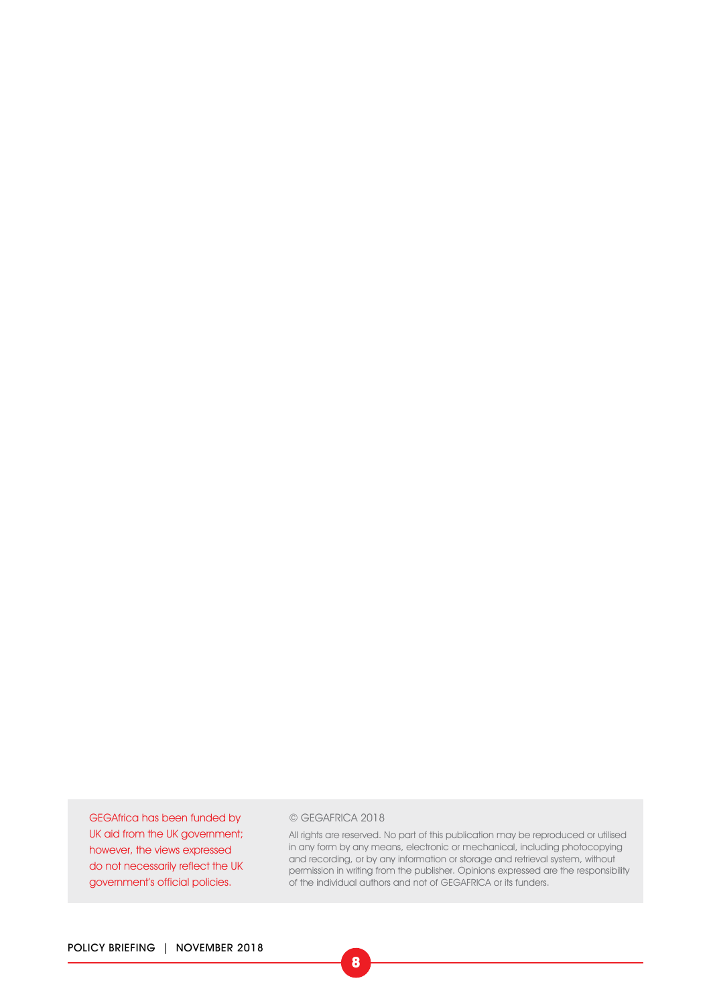GEGAfrica has been funded by UK aid from the UK government; however, the views expressed do not necessarily reflect the UK government's official policies.

#### © GEGAFRICA 2018

All rights are reserved. No part of this publication may be reproduced or utilised in any form by any means, electronic or mechanical, including photocopying and recording, or by any information or storage and retrieval system, without permission in writing from the publisher. Opinions expressed are the responsibility of the individual authors and not of GEGAFRICA or its funders.